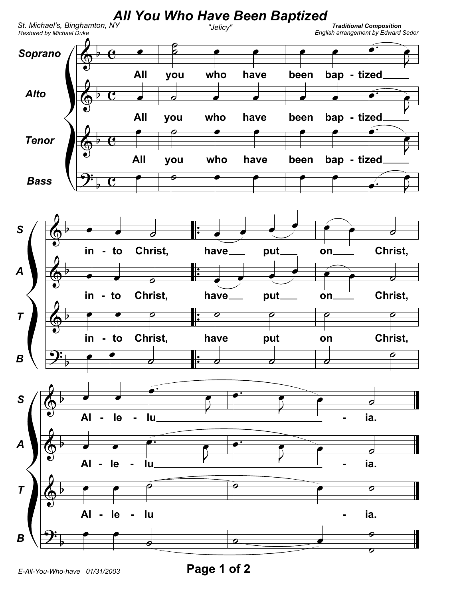

Page 1 of 2